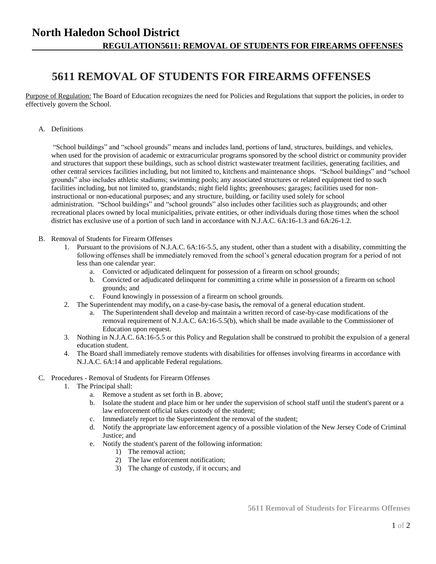## **North Haledon School District REGULATION5611: REMOVAL OF STUDENTS FOR FIREARMS OFFENSES**

## **5611 REMOVAL OF STUDENTS FOR FIREARMS OFFENSES**

Purpose of Regulation: The Board of Education recognizes the need for Policies and Regulations that support the policies, in order to effectively govern the School.

A. Definitions

"School buildings" and "school grounds" means and includes land, portions of land, structures, buildings, and vehicles, when used for the provision of academic or extracurricular programs sponsored by the school district or community provider and structures that support these buildings, such as school district wastewater treatment facilities, generating facilities, and other central services facilities including, but not limited to, kitchens and maintenance shops. "School buildings" and "school grounds" also includes athletic stadiums; swimming pools; any associated structures or related equipment tied to such facilities including, but not limited to, grandstands; night field lights; greenhouses; garages; facilities used for noninstructional or non-educational purposes; and any structure, building, or facility used solely for school administration. "School buildings" and "school grounds" also includes other facilities such as playgrounds; and other recreational places owned by local municipalities, private entities, or other individuals during those times when the school district has exclusive use of a portion of such land in accordance with N.J.A.C. 6A:16-1.3 and 6A:26-1.2.

- B. Removal of Students for Firearm Offenses
	- 1. Pursuant to the provisions of N.J.A.C. 6A:16-5.5, any student, other than a student with a disability, committing the following offenses shall be immediately removed from the school's general education program for a period of not less than one calendar year:
		- a. Convicted or adjudicated delinquent for possession of a firearm on school grounds;
		- b. Convicted or adjudicated delinquent for committing a crime while in possession of a firearm on school grounds; and
		- c. Found knowingly in possession of a firearm on school grounds.
	- 2. The Superintendent may modify**,** on a case-by-case basis**,** the removal of a general education student.
		- a. The Superintendent shall develop and maintain a written record of case-by-case modifications of the removal requirement of N.J.A.C. 6A:16-5.5(b), which shall be made available to the Commissioner of Education upon request.
	- 3. Nothing in N.J.A.C. 6A:16-5.5 or this Policy and Regulation shall be construed to prohibit the expulsion of a general education student.
	- 4. The Board shall immediately remove students with disabilities for offenses involving firearms in accordance with N.J.A.C. 6A:14 and applicable Federal regulations.
- C. Procedures Removal of Students for Firearm Offenses
	- 1. The Principal shall:
		- a. Remove a student as set forth in B. above;
		- b. Isolate the student and place him or her under the supervision of school staff until the student's parent or a law enforcement official takes custody of the student;
		- c. Immediately report to the Superintendent the removal of the student;
		- d. Notify the appropriate law enforcement agency of a possible violation of the New Jersey Code of Criminal Justice; and
		- e. Notify the student's parent of the following information:
			- 1) The removal action;
			- 2) The law enforcement notification;
			- 3) The change of custody, if it occurs; and